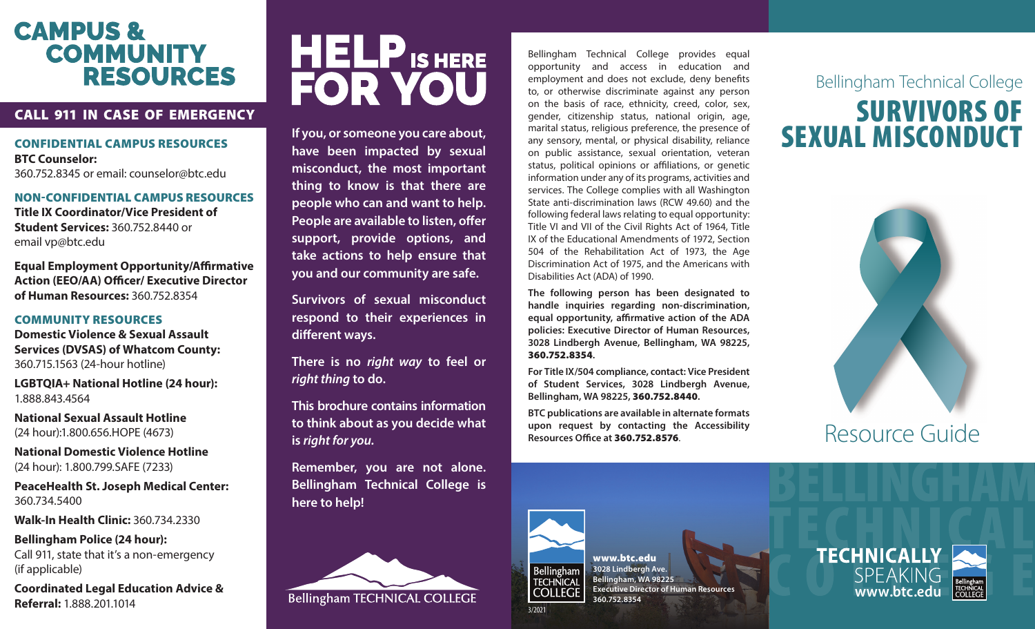# **CAMPUS & COMMUNITY RESOURCES**

### CALL 911 IN CASE OF EMERGENCY

CONFIDENTIAL CAMPUS RESOURCES

**BTC Counselor:** 360.752.8345 or email: counselor@btc.edu

#### NON-CONFIDENTIAL CAMPUS RESOURCES

**Title IX Coordinator/Vice President of Student Services:** 360.752.8440 or email vp@btc.edu

**Equal Employment Opportunity/Affirmative Action (EEO/AA) Officer/ Executive Director of Human Resources:** 360.752.8354

### COMMUNITY RESOURCES

**Domestic Violence & Sexual Assault Services (DVSAS) of Whatcom County:** 360.715.1563 (24-hour hotline)

**LGBTQIA+ National Hotline (24 hour):** 1.888.843.4564

**National Sexual Assault Hotline**  (24 hour):1.800.656.HOPE (4673)

**National Domestic Violence Hotline**  (24 hour): 1.800.799.SAFE (7233)

**PeaceHealth St. Joseph Medical Center:** 360.734.5400

**Walk-In Health Clinic:** 360.734.2330

**Bellingham Police (24 hour):**  Call 911, state that it's a non-emergency (if applicable)

**Coordinated Legal Education Advice & Referral:** 1.888.201.1014



**If you, or someone you care about, have been impacted by sexual misconduct, the most important thing to know is that there are people who can and want to help. People are available to listen, offer support, provide options, and take actions to help ensure that you and our community are safe.**

**Survivors of sexual misconduct respond to their experiences in different ways.**

**There is no** *right way* **to feel or**  *right thing* **to do.**

**This brochure contains information to think about as you decide what is** *right for you.*

**Remember, you are not alone. Bellingham Technical College is here to help!**



Bellingham Technical College provides equal opportunity and access in education and employment and does not exclude, deny benefits to, or otherwise discriminate against any person on the basis of race, ethnicity, creed, color, sex, gender, citizenship status, national origin, age, marital status, religious preference, the presence of any sensory, mental, or physical disability, reliance on public assistance, sexual orientation, veteran status, political opinions or affiliations, or genetic information under any of its programs, activities and services. The College complies with all Washington State anti-discrimination laws (RCW 49.60) and the following federal laws relating to equal opportunity: Title VI and VII of the Civil Rights Act of 1964, Title IX of the Educational Amendments of 1972, Section 504 of the Rehabilitation Act of 1973, the Age Discrimination Act of 1975, and the Americans with Disabilities Act (ADA) of 1990.

**The following person has been designated to handle inquiries regarding non-discrimination, equal opportunity, affirmative action of the ADA policies: Executive Director of Human Resources, 3028 Lindbergh Avenue, Bellingham, WA 98225,**  360.752.8354**.**

**For Title IX/504 compliance, contact: Vice President of Student Services, 3028 Lindbergh Avenue, Bellingham, WA 98225,** 360.752.8440**.**

**BTC publications are available in alternate formats upon request by contacting the Accessibility Resources Office at** 360.752.8576.









3/2021

**3028 Lindbergh Ave. Bellingham, WA 98225**

**Executive Director of Human Resources**